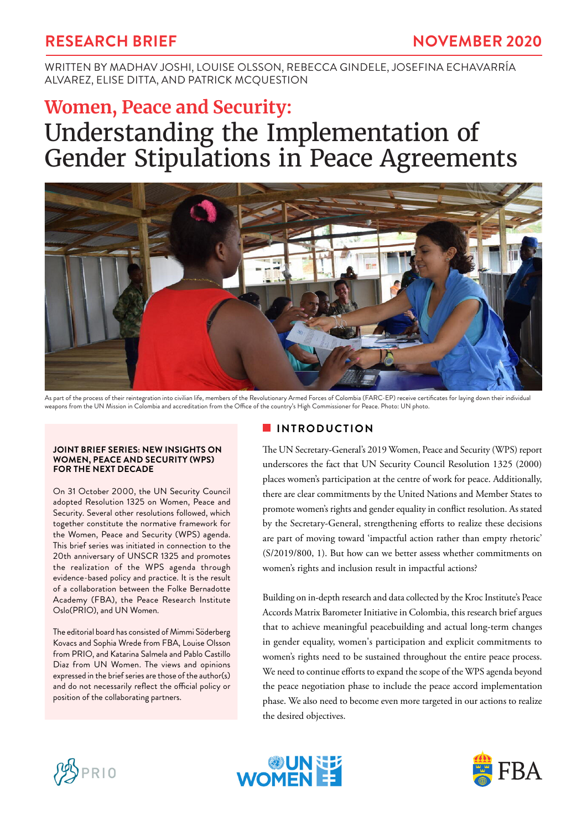## **RESEARCH BRIEF NOVEMBER 2020**

WRITTEN BY MADHAV JOSHI, LOUISE OLSSON, REBECCA GINDELE, JOSEFINA ECHAVARRÍA ALVAREZ, ELISE DITTA, AND PATRICK MCQUESTION

# **Women, Peace and Security:** Understanding the Implementation of Gender Stipulations in Peace Agreements



As part of the process of their reintegration into civilian life, members of the Revolutionary Armed Forces of Colombia (FARC-EP) receive certificates for laying down their individual weapons from the UN Mission in Colombia and accreditation from the Office of the country's High Commissioner for Peace. Photo: UN photo.

#### **JOINT BRIEF SERIES: NEW INSIGHTS ON WOMEN, PEACE AND SECURITY (WPS) FOR THE NEXT DECADE**

On 31 October 2000, the UN Security Council adopted Resolution 1325 on Women, Peace and Security. Several other resolutions followed, which together constitute the normative framework for the Women, Peace and Security (WPS) agenda. This brief series was initiated in connection to the 20th anniversary of UNSCR 1325 and promotes the realization of the WPS agenda through evidence-based policy and practice. It is the result of a collaboration between the Folke Bernadotte Academy (FBA), the Peace Research Institute Oslo(PRIO), and UN Women.

The editorial board has consisted of Mimmi Söderberg Kovacs and Sophia Wrede from FBA, Louise Olsson from PRIO, and Katarina Salmela and Pablo Castillo Diaz from UN Women. The views and opinions expressed in the brief series are those of the author(s) and do not necessarily reflect the official policy or position of the collaborating partners.

#### **INTRODUCTION**

The UN Secretary-General's 2019 Women, Peace and Security (WPS) report underscores the fact that UN Security Council Resolution 1325 (2000) places women's participation at the centre of work for peace. Additionally, there are clear commitments by the United Nations and Member States to promote women's rights and gender equality in conflict resolution. As stated by the Secretary-General, strengthening efforts to realize these decisions are part of moving toward 'impactful action rather than empty rhetoric' (S/2019/800, 1). But how can we better assess whether commitments on women's rights and inclusion result in impactful actions?

Building on in-depth research and data collected by the Kroc Institute's Peace Accords Matrix Barometer Initiative in Colombia, this research brief argues that to achieve meaningful peacebuilding and actual long-term changes in gender equality, women's participation and explicit commitments to women's rights need to be sustained throughout the entire peace process. We need to continue efforts to expand the scope of the WPS agenda beyond the peace negotiation phase to include the peace accord implementation phase. We also need to become even more targeted in our actions to realize the desired objectives.





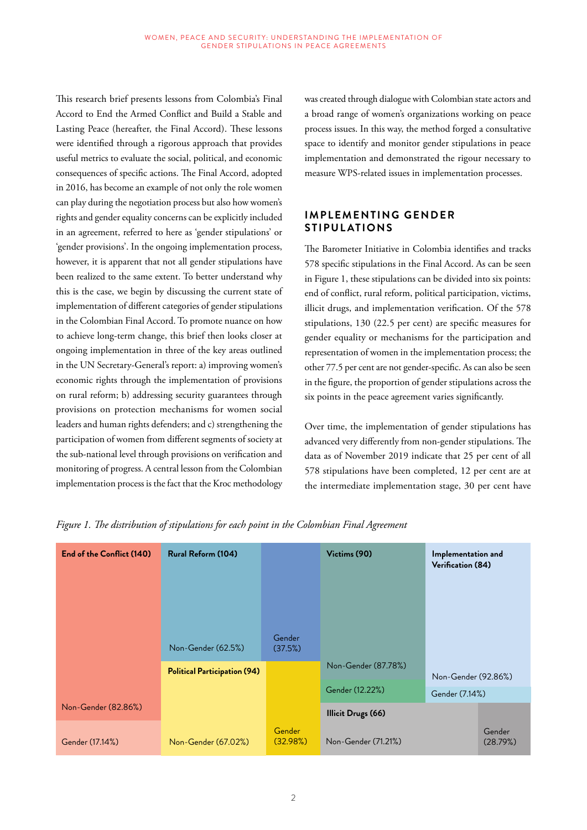This research brief presents lessons from Colombia's Final Accord to End the Armed Conflict and Build a Stable and Lasting Peace (hereafter, the Final Accord). These lessons were identified through a rigorous approach that provides useful metrics to evaluate the social, political, and economic consequences of specific actions. The Final Accord, adopted in 2016, has become an example of not only the role women can play during the negotiation process but also how women's rights and gender equality concerns can be explicitly included in an agreement, referred to here as 'gender stipulations' or 'gender provisions'. In the ongoing implementation process, however, it is apparent that not all gender stipulations have been realized to the same extent. To better understand why this is the case, we begin by discussing the current state of implementation of different categories of gender stipulations in the Colombian Final Accord. To promote nuance on how to achieve long-term change, this brief then looks closer at ongoing implementation in three of the key areas outlined in the UN Secretary-General's report: a) improving women's economic rights through the implementation of provisions on rural reform; b) addressing security guarantees through provisions on protection mechanisms for women social leaders and human rights defenders; and c) strengthening the participation of women from different segments of society at the sub-national level through provisions on verification and monitoring of progress. A central lesson from the Colombian implementation process is the fact that the Kroc methodology

was created through dialogue with Colombian state actors and a broad range of women's organizations working on peace process issues. In this way, the method forged a consultative space to identify and monitor gender stipulations in peace implementation and demonstrated the rigour necessary to measure WPS-related issues in implementation processes.

#### **IMPLEMENTING GENDER STIPUL ATIONS**

The Barometer Initiative in Colombia identifies and tracks 578 specific stipulations in the Final Accord. As can be seen in Figure 1, these stipulations can be divided into six points: end of conflict, rural reform, political participation, victims, illicit drugs, and implementation verification. Of the 578 stipulations, 130 (22.5 per cent) are specific measures for gender equality or mechanisms for the participation and representation of women in the implementation process; the other 77.5 per cent are not gender-specific. As can also be seen in the figure, the proportion of gender stipulations across the six points in the peace agreement varies significantly.

Over time, the implementation of gender stipulations has advanced very differently from non-gender stipulations. The data as of November 2019 indicate that 25 per cent of all 578 stipulations have been completed, 12 per cent are at the intermediate implementation stage, 30 per cent have

| End of the Conflict (140) | Rural Reform (104)                  |                    | Victims (90)              | Implementation and<br>Verification (84) |                    |
|---------------------------|-------------------------------------|--------------------|---------------------------|-----------------------------------------|--------------------|
|                           |                                     |                    |                           |                                         |                    |
|                           |                                     |                    |                           |                                         |                    |
|                           | Non-Gender (62.5%)                  | Gender<br>(37.5%)  |                           |                                         |                    |
|                           | <b>Political Participation (94)</b> |                    | Non-Gender (87.78%)       | Non-Gender (92.86%)<br>Gender (7.14%)   |                    |
|                           |                                     |                    | Gender (12.22%)           |                                         |                    |
| Non-Gender (82.86%)       |                                     |                    | <b>Illicit Drugs (66)</b> |                                         |                    |
| Gender (17.14%)           | Non-Gender (67.02%)                 | Gender<br>(32.98%) | Non-Gender (71.21%)       |                                         | Gender<br>(28.79%) |

*Figure 1. The distribution of stipulations for each point in the Colombian Final Agreement*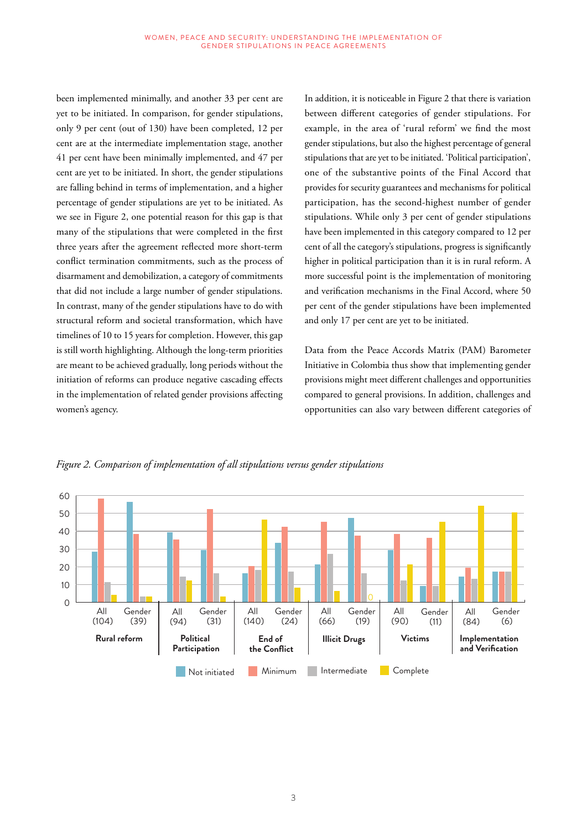been implemented minimally, and another 33 per cent are yet to be initiated. In comparison, for gender stipulations, only 9 per cent (out of 130) have been completed, 12 per cent are at the intermediate implementation stage, another 41 per cent have been minimally implemented, and 47 per cent are yet to be initiated. In short, the gender stipulations are falling behind in terms of implementation, and a higher percentage of gender stipulations are yet to be initiated. As we see in Figure 2, one potential reason for this gap is that many of the stipulations that were completed in the first three years after the agreement reflected more short-term conflict termination commitments, such as the process of disarmament and demobilization, a category of commitments that did not include a large number of gender stipulations. In contrast, many of the gender stipulations have to do with structural reform and societal transformation, which have timelines of 10 to 15 years for completion. However, this gap is still worth highlighting. Although the long-term priorities are meant to be achieved gradually, long periods without the initiation of reforms can produce negative cascading effects in the implementation of related gender provisions affecting women's agency.

In addition, it is noticeable in Figure 2 that there is variation between different categories of gender stipulations. For example, in the area of 'rural reform' we find the most gender stipulations, but also the highest percentage of general stipulations that are yet to be initiated. 'Political participation', one of the substantive points of the Final Accord that provides for security guarantees and mechanisms for political participation, has the second-highest number of gender stipulations. While only 3 per cent of gender stipulations have been implemented in this category compared to 12 per cent of all the category's stipulations, progress is significantly higher in political participation than it is in rural reform. A more successful point is the implementation of monitoring and verification mechanisms in the Final Accord, where 50 per cent of the gender stipulations have been implemented and only 17 per cent are yet to be initiated.

Data from the Peace Accords Matrix (PAM) Barometer Initiative in Colombia thus show that implementing gender provisions might meet different challenges and opportunities compared to general provisions. In addition, challenges and opportunities can also vary between different categories of



*Figure 2. Comparison of implementation of all stipulations versus gender stipulations*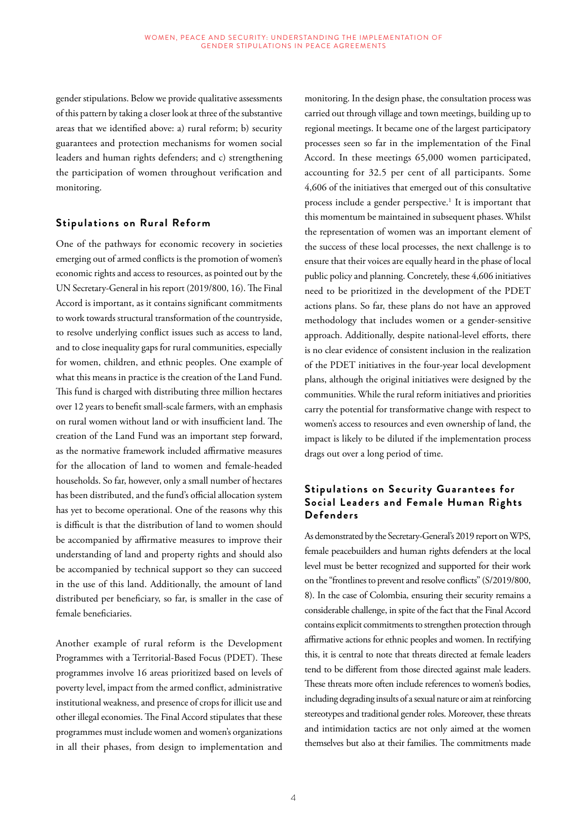gender stipulations. Below we provide qualitative assessments of this pattern by taking a closer look at three of the substantive areas that we identified above: a) rural reform; b) security guarantees and protection mechanisms for women social leaders and human rights defenders; and c) strengthening the participation of women throughout verification and monitoring.

#### **Stipulations on Rural Reform**

One of the pathways for economic recovery in societies emerging out of armed conflicts is the promotion of women's economic rights and access to resources, as pointed out by the UN Secretary-General in his report (2019/800, 16). The Final Accord is important, as it contains significant commitments to work towards structural transformation of the countryside, to resolve underlying conflict issues such as access to land, and to close inequality gaps for rural communities, especially for women, children, and ethnic peoples. One example of what this means in practice is the creation of the Land Fund. This fund is charged with distributing three million hectares over 12 years to benefit small-scale farmers, with an emphasis on rural women without land or with insufficient land. The creation of the Land Fund was an important step forward, as the normative framework included affirmative measures for the allocation of land to women and female-headed households. So far, however, only a small number of hectares has been distributed, and the fund's official allocation system has yet to become operational. One of the reasons why this is difficult is that the distribution of land to women should be accompanied by affirmative measures to improve their understanding of land and property rights and should also be accompanied by technical support so they can succeed in the use of this land. Additionally, the amount of land distributed per beneficiary, so far, is smaller in the case of female beneficiaries.

Another example of rural reform is the Development Programmes with a Territorial-Based Focus (PDET). These programmes involve 16 areas prioritized based on levels of poverty level, impact from the armed conflict, administrative institutional weakness, and presence of crops for illicit use and other illegal economies. The Final Accord stipulates that these programmes must include women and women's organizations in all their phases, from design to implementation and

monitoring. In the design phase, the consultation process was carried out through village and town meetings, building up to regional meetings. It became one of the largest participatory processes seen so far in the implementation of the Final Accord. In these meetings 65,000 women participated, accounting for 32.5 per cent of all participants. Some 4,606 of the initiatives that emerged out of this consultative process include a gender perspective.<sup>1</sup> It is important that this momentum be maintained in subsequent phases. Whilst the representation of women was an important element of the success of these local processes, the next challenge is to ensure that their voices are equally heard in the phase of local public policy and planning. Concretely, these 4,606 initiatives need to be prioritized in the development of the PDET actions plans. So far, these plans do not have an approved methodology that includes women or a gender-sensitive approach. Additionally, despite national-level efforts, there is no clear evidence of consistent inclusion in the realization of the PDET initiatives in the four-year local development plans, although the original initiatives were designed by the communities. While the rural reform initiatives and priorities carry the potential for transformative change with respect to women's access to resources and even ownership of land, the impact is likely to be diluted if the implementation process drags out over a long period of time.

#### **Stipulations on Security Guarantees for Social Leaders and Female Human Rights Defenders**

As demonstrated by the Secretary-General's 2019 report on WPS, female peacebuilders and human rights defenders at the local level must be better recognized and supported for their work on the "frontlines to prevent and resolve conflicts" (S/2019/800, 8). In the case of Colombia, ensuring their security remains a considerable challenge, in spite of the fact that the Final Accord contains explicit commitments to strengthen protection through affirmative actions for ethnic peoples and women. In rectifying this, it is central to note that threats directed at female leaders tend to be different from those directed against male leaders. These threats more often include references to women's bodies, including degrading insults of a sexual nature or aim at reinforcing stereotypes and traditional gender roles. Moreover, these threats and intimidation tactics are not only aimed at the women themselves but also at their families. The commitments made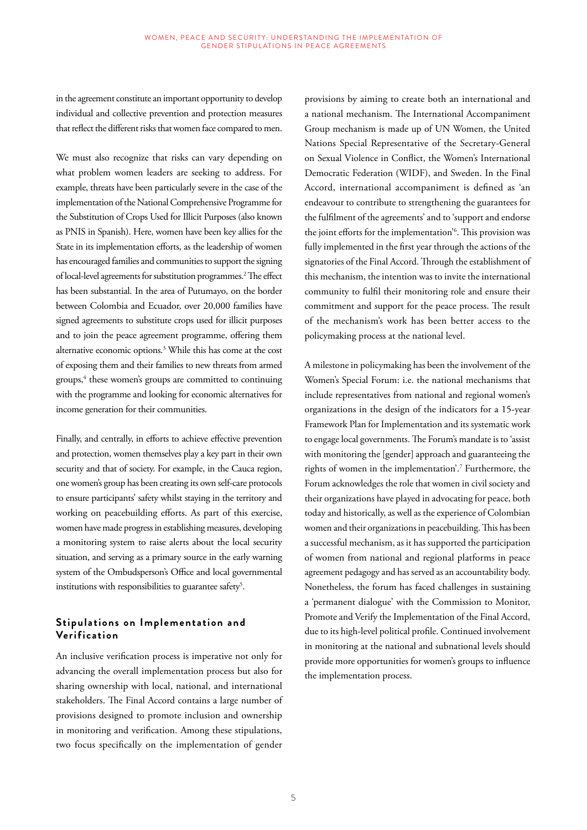in the agreement constitute an important opportunity to develop individual and collective prevention and protection measures that reflect the different risks that women face compared to men.

We must also recognize that risks can vary depending on what problem women leaders are seeking to address. For example, threats have been particularly severe in the case of the implementation of the National Comprehensive Programme for the Substitution of Crops Used for Illicit Purposes (also known as PNIS in Spanish). Here, women have been key allies for the State in its implementation efforts, as the leadership of women has encouraged families and communities to support the signing of local-level agreements for substitution programmes.2 The effect has been substantial. In the area of Putumayo, on the border between Colombia and Ecuador, over 20,000 families have signed agreements to substitute crops used for illicit purposes and to join the peace agreement programme, offering them alternative economic options.3 While this has come at the cost of exposing them and their families to new threats from armed groups,4 these women's groups are committed to continuing with the programme and looking for economic alternatives for income generation for their communities.

Finally, and centrally, in efforts to achieve effective prevention and protection, women themselves play a key part in their own security and that of society. For example, in the Cauca region, one women's group has been creating its own self-care protocols to ensure participants' safety whilst staying in the territory and working on peacebuilding efforts. As part of this exercise, women have made progress in establishing measures, developing a monitoring system to raise alerts about the local security situation, and serving as a primary source in the early warning system of the Ombudsperson's Office and local governmental institutions with responsibilities to guarantee safety<sup>5</sup>.

#### **Stipulations on Implementation and Verification**

An inclusive verification process is imperative not only for advancing the overall implementation process but also for sharing ownership with local, national, and international stakeholders. The Final Accord contains a large number of provisions designed to promote inclusion and ownership in monitoring and verification. Among these stipulations, two focus specifically on the implementation of gender

provisions by aiming to create both an international and a national mechanism. The International Accompaniment Group mechanism is made up of UN Women, the United Nations Special Representative of the Secretary-General on Sexual Violence in Conflict, the Women's International Democratic Federation (WIDF), and Sweden. In the Final Accord, international accompaniment is defined as 'an endeavour to contribute to strengthening the guarantees for the fulfilment of the agreements' and to 'support and endorse the joint efforts for the implementation'6 . This provision was fully implemented in the first year through the actions of the signatories of the Final Accord. Through the establishment of this mechanism, the intention was to invite the international community to fulfil their monitoring role and ensure their commitment and support for the peace process. The result of the mechanism's work has been better access to the policymaking process at the national level.

A milestone in policymaking has been the involvement of the Women's Special Forum: i.e. the national mechanisms that include representatives from national and regional women's organizations in the design of the indicators for a 15-year Framework Plan for Implementation and its systematic work to engage local governments. The Forum's mandate is to 'assist with monitoring the [gender] approach and guaranteeing the rights of women in the implementation'.7 Furthermore, the Forum acknowledges the role that women in civil society and their organizations have played in advocating for peace, both today and historically, as well as the experience of Colombian women and their organizations in peacebuilding. This has been a successful mechanism, as it has supported the participation of women from national and regional platforms in peace agreement pedagogy and has served as an accountability body. Nonetheless, the forum has faced challenges in sustaining a 'permanent dialogue' with the Commission to Monitor, Promote and Verify the Implementation of the Final Accord, due to its high-level political profile. Continued involvement in monitoring at the national and subnational levels should provide more opportunities for women's groups to influence the implementation process.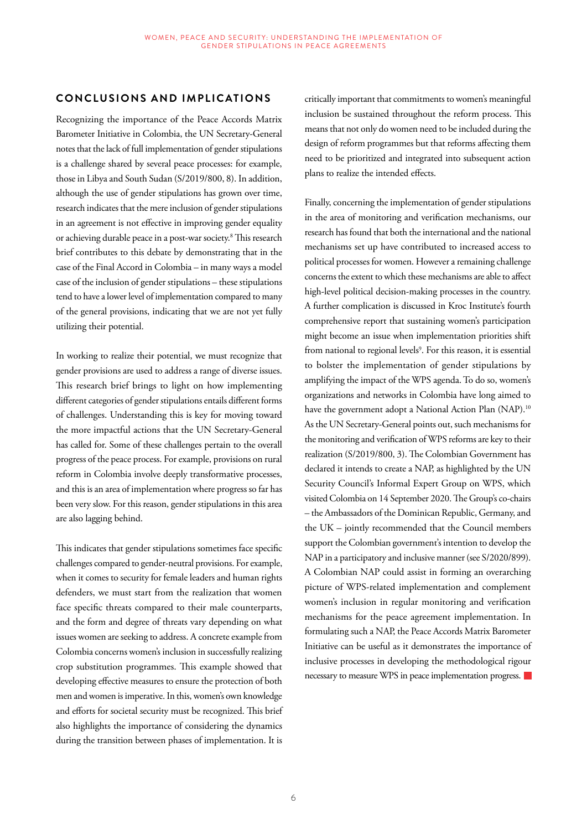#### **CONCLUSIONS AND IMPLICATIONS**

Recognizing the importance of the Peace Accords Matrix Barometer Initiative in Colombia, the UN Secretary-General notes that the lack of full implementation of gender stipulations is a challenge shared by several peace processes: for example, those in Libya and South Sudan (S/2019/800, 8). In addition, although the use of gender stipulations has grown over time, research indicates that the mere inclusion of gender stipulations in an agreement is not effective in improving gender equality or achieving durable peace in a post-war society.8 This research brief contributes to this debate by demonstrating that in the case of the Final Accord in Colombia – in many ways a model case of the inclusion of gender stipulations – these stipulations tend to have a lower level of implementation compared to many of the general provisions, indicating that we are not yet fully utilizing their potential.

In working to realize their potential, we must recognize that gender provisions are used to address a range of diverse issues. This research brief brings to light on how implementing different categories of gender stipulations entails different forms of challenges. Understanding this is key for moving toward the more impactful actions that the UN Secretary-General has called for. Some of these challenges pertain to the overall progress of the peace process. For example, provisions on rural reform in Colombia involve deeply transformative processes, and this is an area of implementation where progress so far has been very slow. For this reason, gender stipulations in this area are also lagging behind.

This indicates that gender stipulations sometimes face specific challenges compared to gender-neutral provisions. For example, when it comes to security for female leaders and human rights defenders, we must start from the realization that women face specific threats compared to their male counterparts, and the form and degree of threats vary depending on what issues women are seeking to address. A concrete example from Colombia concerns women's inclusion in successfully realizing crop substitution programmes. This example showed that developing effective measures to ensure the protection of both men and women is imperative. In this, women's own knowledge and efforts for societal security must be recognized. This brief also highlights the importance of considering the dynamics during the transition between phases of implementation. It is

critically important that commitments to women's meaningful inclusion be sustained throughout the reform process. This means that not only do women need to be included during the design of reform programmes but that reforms affecting them need to be prioritized and integrated into subsequent action plans to realize the intended effects.

Finally, concerning the implementation of gender stipulations in the area of monitoring and verification mechanisms, our research has found that both the international and the national mechanisms set up have contributed to increased access to political processes for women. However a remaining challenge concerns the extent to which these mechanisms are able to affect high-level political decision-making processes in the country. A further complication is discussed in Kroc Institute's fourth comprehensive report that sustaining women's participation might become an issue when implementation priorities shift from national to regional levels<sup>9</sup>. For this reason, it is essential to bolster the implementation of gender stipulations by amplifying the impact of the WPS agenda. To do so, women's organizations and networks in Colombia have long aimed to have the government adopt a National Action Plan (NAP).<sup>10</sup> As the UN Secretary-General points out, such mechanisms for the monitoring and verification of WPS reforms are key to their realization (S/2019/800, 3). The Colombian Government has declared it intends to create a NAP, as highlighted by the UN Security Council's Informal Expert Group on WPS, which visited Colombia on 14 September 2020. The Group's co-chairs – the Ambassadors of the Dominican Republic, Germany, and the UK – jointly recommended that the Council members support the Colombian government's intention to develop the NAP in a participatory and inclusive manner (see S/2020/899). A Colombian NAP could assist in forming an overarching picture of WPS-related implementation and complement women's inclusion in regular monitoring and verification mechanisms for the peace agreement implementation. In formulating such a NAP, the Peace Accords Matrix Barometer Initiative can be useful as it demonstrates the importance of inclusive processes in developing the methodological rigour necessary to measure WPS in peace implementation progress.